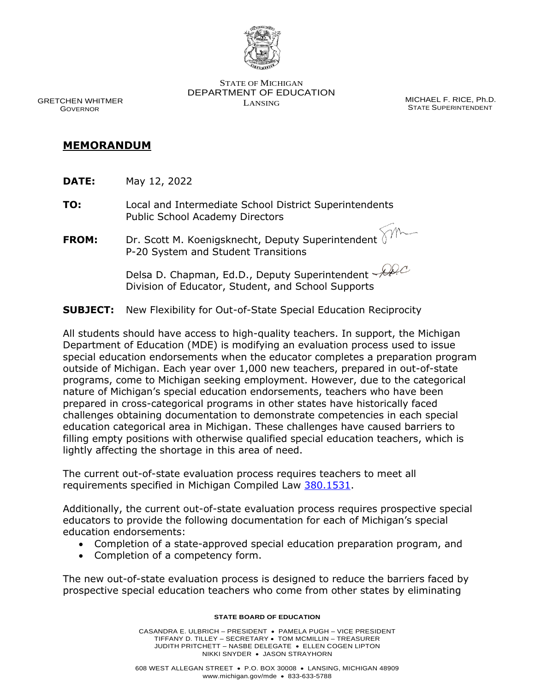

STATE OF MICHIGAN DEPARTMENT OF EDUCATION

LANSING MICHAEL F. RICE, Ph.D. STATE SUPERINTENDENT

 GRETCHEN WHITMER GOVERNOR

## **MEMORANDUM**

- **DATE:** May 12, 2022
- **TO:** Local and Intermediate School District Superintendents Public School Academy Directors
- **FROM:** Dr. Scott M. Koenigsknecht, Deputy Superintendent P-20 System and Student Transitions

Delsa D. Chapman, Ed.D., Deputy Superintendent Alle Division of Educator, Student, and School Supports

**SUBJECT:** New Flexibility for Out-of-State Special Education Reciprocity

All students should have access to high-quality teachers. In support, the Michigan Department of Education (MDE) is modifying an evaluation process used to issue special education endorsements when the educator completes a preparation program outside of Michigan. Each year over 1,000 new teachers, prepared in out-of-state programs, come to Michigan seeking employment. However, due to the categorical nature of Michigan's special education endorsements, teachers who have been prepared in cross-categorical programs in other states have historically faced challenges obtaining documentation to demonstrate competencies in each special education categorical area in Michigan. These challenges have caused barriers to filling empty positions with otherwise qualified special education teachers, which is lightly affecting the shortage in this area of need.

The current out-of-state evaluation process requires teachers to meet all requirements specified in Michigan Compiled Law [380.1531.](http://legislature.mi.gov/doc.aspx?mcl-380-1531)

Additionally, the current out-of-state evaluation process requires prospective special educators to provide the following documentation for each of Michigan's special education endorsements:

- Completion of a state-approved special education preparation program, and
- Completion of a competency form.

The new out-of-state evaluation process is designed to reduce the barriers faced by prospective special education teachers who come from other states by eliminating

## **STATE BOARD OF EDUCATION**

CASANDRA E. ULBRICH – PRESIDENT • PAMELA PUGH – VICE PRESIDENT TIFFANY D. TILLEY – SECRETARY • TOM MCMILLIN – TREASURER JUDITH PRITCHETT – NASBE DELEGATE • ELLEN COGEN LIPTON NIKKI SNYDER • JASON STRAYHORN